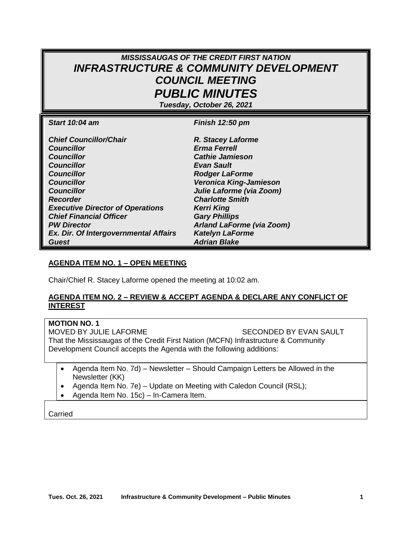# *MISSISSAUGAS OF THE CREDIT FIRST NATION INFRASTRUCTURE & COMMUNITY DEVELOPMENT COUNCIL MEETING PUBLIC MINUTES*

*Tuesday, October 26, 2021*

| <b>Start 10:04 am</b>                   | Finish 12:50 pm                  |
|-----------------------------------------|----------------------------------|
|                                         |                                  |
| <b>Chief Councillor/Chair</b>           | R. Stacey Laforme                |
| <b>Councillor</b>                       | <b>Erma Ferrell</b>              |
| <b>Councillor</b>                       | <b>Cathie Jamieson</b>           |
| <b>Councillor</b>                       | <b>Evan Sault</b>                |
| <b>Councillor</b>                       | <b>Rodger LaForme</b>            |
| <b>Councillor</b>                       | Veronica King-Jamieson           |
| <b>Councillor</b>                       | Julie Laforme (via Zoom)         |
| <b>Recorder</b>                         | <b>Charlotte Smith</b>           |
| <b>Executive Director of Operations</b> | <b>Kerri King</b>                |
| <b>Chief Financial Officer</b>          | <b>Gary Phillips</b>             |
| <b>PW Director</b>                      | <b>Arland LaForme (via Zoom)</b> |
| Ex. Dir. Of Intergovernmental Affairs   | <b>Katelyn LaForme</b>           |
| Guest                                   | <b>Adrian Blake</b>              |

#### **AGENDA ITEM NO. 1 – OPEN MEETING**

Chair/Chief R. Stacey Laforme opened the meeting at 10:02 am.

#### **AGENDA ITEM NO. 2 – REVIEW & ACCEPT AGENDA & DECLARE ANY CONFLICT OF INTEREST**

**MOTION NO. 1** 

MOVED BY JULIE LAFORME SECONDED BY EVAN SAULT That the Mississaugas of the Credit First Nation (MCFN) Infrastructure & Community Development Council accepts the Agenda with the following additions:

- Agenda Item No. 7d) Newsletter Should Campaign Letters be Allowed in the Newsletter (KK)
- Agenda Item No. 7e) Update on Meeting with Caledon Council (RSL);
- Agenda Item No. 15c) In-Camera Item.

Carried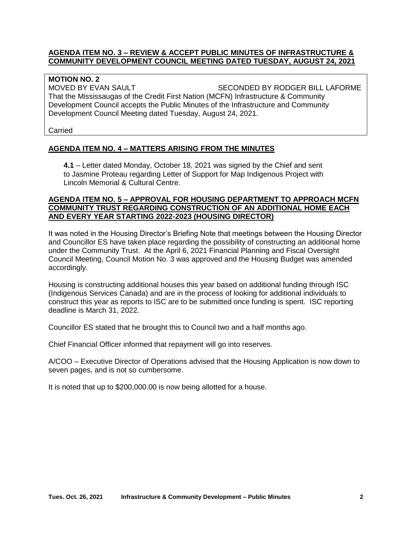#### **AGENDA ITEM NO. 3 – REVIEW & ACCEPT PUBLIC MINUTES OF INFRASTRUCTURE & COMMUNITY DEVELOPMENT COUNCIL MEETING DATED TUESDAY, AUGUST 24, 2021**

## **MOTION NO. 2**

MOVED BY EVAN SAULT SECONDED BY RODGER BILL LAFORME That the Mississaugas of the Credit First Nation (MCFN) Infrastructure & Community Development Council accepts the Public Minutes of the Infrastructure and Community Development Council Meeting dated Tuesday, August 24, 2021.

Carried

## **AGENDA ITEM NO. 4 – MATTERS ARISING FROM THE MINUTES**

**4.1** – Letter dated Monday, October 18, 2021 was signed by the Chief and sent to Jasmine Proteau regarding Letter of Support for Map Indigenous Project with Lincoln Memorial & Cultural Centre.

#### **AGENDA ITEM NO. 5 – APPROVAL FOR HOUSING DEPARTMENT TO APPROACH MCFN COMMUNITY TRUST REGARDING CONSTRUCTION OF AN ADDITIONAL HOME EACH AND EVERY YEAR STARTING 2022-2023 (HOUSING DIRECTOR)**

It was noted in the Housing Director's Briefing Note that meetings between the Housing Director and Councillor ES have taken place regarding the possibility of constructing an additional home under the Community Trust. At the April 6, 2021 Financial Planning and Fiscal Oversight Council Meeting, Council Motion No. 3 was approved and the Housing Budget was amended accordingly.

Housing is constructing additional houses this year based on additional funding through ISC (Indigenous Services Canada) and are in the process of looking for additional individuals to construct this year as reports to ISC are to be submitted once funding is spent. ISC reporting deadline is March 31, 2022.

Councillor ES stated that he brought this to Council two and a half months ago.

Chief Financial Officer informed that repayment will go into reserves.

A/COO – Executive Director of Operations advised that the Housing Application is now down to seven pages, and is not so cumbersome.

It is noted that up to \$200,000.00 is now being allotted for a house.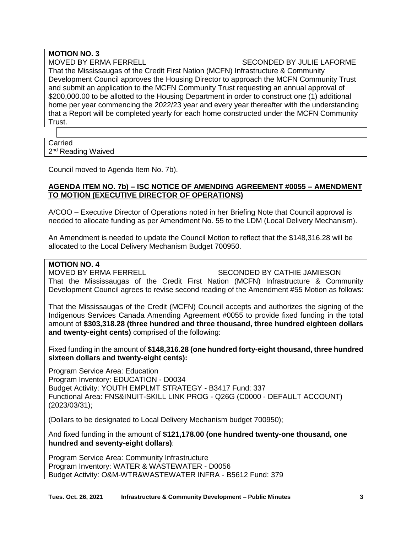# **MOTION NO. 3**

## MOVED BY ERMA FERRELL SECONDED BY JULIE LAFORME

That the Mississaugas of the Credit First Nation (MCFN) Infrastructure & Community Development Council approves the Housing Director to approach the MCFN Community Trust and submit an application to the MCFN Community Trust requesting an annual approval of \$200,000.00 to be allotted to the Housing Department in order to construct one (1) additional home per year commencing the 2022/23 year and every year thereafter with the understanding that a Report will be completed yearly for each home constructed under the MCFN Community Trust.

## Carried 2<sup>nd</sup> Reading Waived

Council moved to Agenda Item No. 7b).

### **AGENDA ITEM NO. 7b) – ISC NOTICE OF AMENDING AGREEMENT #0055 – AMENDMENT TO MOTION (EXECUTIVE DIRECTOR OF OPERATIONS)**

A/COO – Executive Director of Operations noted in her Briefing Note that Council approval is needed to allocate funding as per Amendment No. 55 to the LDM (Local Delivery Mechanism).

An Amendment is needed to update the Council Motion to reflect that the \$148,316.28 will be allocated to the Local Delivery Mechanism Budget 700950.

## **MOTION NO. 4**

MOVED BY ERMA FERRELL SECONDED BY CATHIE JAMIESON

That the Mississaugas of the Credit First Nation (MCFN) Infrastructure & Community Development Council agrees to revise second reading of the Amendment #55 Motion as follows:

That the Mississaugas of the Credit (MCFN) Council accepts and authorizes the signing of the Indigenous Services Canada Amending Agreement #0055 to provide fixed funding in the total amount of **\$303,318.28 (three hundred and three thousand, three hundred eighteen dollars and twenty-eight cents)** comprised of the following:

Fixed funding in the amount of **\$148,316.28 (one hundred forty-eight thousand, three hundred sixteen dollars and twenty-eight cents):**

Program Service Area: Education Program Inventory: EDUCATION - D0034 Budget Activity: YOUTH EMPLMT STRATEGY - B3417 Fund: 337 Functional Area: FNS&INUIT-SKILL LINK PROG - Q26G (C0000 - DEFAULT ACCOUNT) (2023/03/31);

(Dollars to be designated to Local Delivery Mechanism budget 700950);

And fixed funding in the amount of **\$121,178.00 (one hundred twenty-one thousand, one hundred and seventy-eight dollars)**:

Program Service Area: Community Infrastructure Program Inventory: WATER & WASTEWATER - D0056 Budget Activity: O&M-WTR&WASTEWATER INFRA - B5612 Fund: 379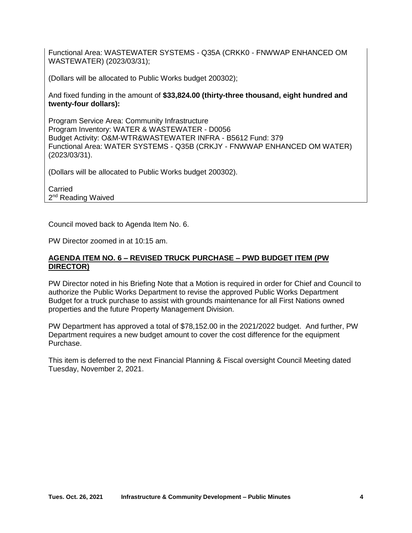Functional Area: WASTEWATER SYSTEMS - Q35A (CRKK0 - FNWWAP ENHANCED OM WASTEWATER) (2023/03/31);

(Dollars will be allocated to Public Works budget 200302);

And fixed funding in the amount of **\$33,824.00 (thirty-three thousand, eight hundred and twenty-four dollars):**

Program Service Area: Community Infrastructure Program Inventory: WATER & WASTEWATER - D0056 Budget Activity: O&M-WTR&WASTEWATER INFRA - B5612 Fund: 379 Functional Area: WATER SYSTEMS - Q35B (CRKJY - FNWWAP ENHANCED OM WATER) (2023/03/31).

(Dollars will be allocated to Public Works budget 200302).

Carried 2<sup>nd</sup> Reading Waived

Council moved back to Agenda Item No. 6.

PW Director zoomed in at 10:15 am.

#### **AGENDA ITEM NO. 6 – REVISED TRUCK PURCHASE – PWD BUDGET ITEM (PW DIRECTOR)**

PW Director noted in his Briefing Note that a Motion is required in order for Chief and Council to authorize the Public Works Department to revise the approved Public Works Department Budget for a truck purchase to assist with grounds maintenance for all First Nations owned properties and the future Property Management Division.

PW Department has approved a total of \$78,152.00 in the 2021/2022 budget. And further, PW Department requires a new budget amount to cover the cost difference for the equipment Purchase.

This item is deferred to the next Financial Planning & Fiscal oversight Council Meeting dated Tuesday, November 2, 2021.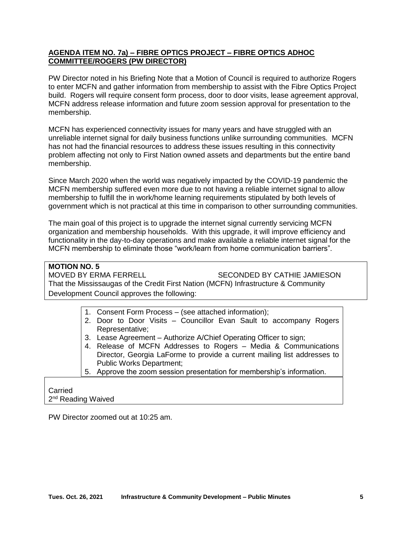## **AGENDA ITEM NO. 7a) – FIBRE OPTICS PROJECT – FIBRE OPTICS ADHOC COMMITTEE/ROGERS (PW DIRECTOR)**

PW Director noted in his Briefing Note that a Motion of Council is required to authorize Rogers to enter MCFN and gather information from membership to assist with the Fibre Optics Project build. Rogers will require consent form process, door to door visits, lease agreement approval, MCFN address release information and future zoom session approval for presentation to the membership.

MCFN has experienced connectivity issues for many years and have struggled with an unreliable internet signal for daily business functions unlike surrounding communities. MCFN has not had the financial resources to address these issues resulting in this connectivity problem affecting not only to First Nation owned assets and departments but the entire band membership.

Since March 2020 when the world was negatively impacted by the COVID-19 pandemic the MCFN membership suffered even more due to not having a reliable internet signal to allow membership to fulfill the in work/home learning requirements stipulated by both levels of government which is not practical at this time in comparison to other surrounding communities.

The main goal of this project is to upgrade the internet signal currently servicing MCFN organization and membership households. With this upgrade, it will improve efficiency and functionality in the day-to-day operations and make available a reliable internet signal for the MCFN membership to eliminate those "work/learn from home communication barriers".

# **MOTION NO. 5**  SECONDED BY CATHIE JAMIESON That the Mississaugas of the Credit First Nation (MCFN) Infrastructure & Community Development Council approves the following:

|  | 1. Consent Form Process – (see attached information); |  |  |  |  |  |  |  |  |                                                                    |  |
|--|-------------------------------------------------------|--|--|--|--|--|--|--|--|--------------------------------------------------------------------|--|
|  |                                                       |  |  |  |  |  |  |  |  | 2. Door to Door Visits – Councillor Evan Sault to accompany Rogers |  |
|  | Representative;                                       |  |  |  |  |  |  |  |  |                                                                    |  |

- 3. Lease Agreement Authorize A/Chief Operating Officer to sign;
- 4. Release of MCFN Addresses to Rogers Media & Communications Director, Georgia LaForme to provide a current mailing list addresses to Public Works Department;
- 5. Approve the zoom session presentation for membership's information.

#### Carried 2<sup>nd</sup> Reading Waived

PW Director zoomed out at 10:25 am.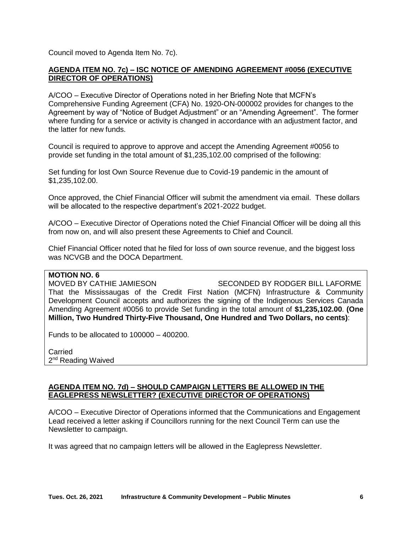Council moved to Agenda Item No. 7c).

### **AGENDA ITEM NO. 7c) – ISC NOTICE OF AMENDING AGREEMENT #0056 (EXECUTIVE DIRECTOR OF OPERATIONS)**

A/COO – Executive Director of Operations noted in her Briefing Note that MCFN's Comprehensive Funding Agreement (CFA) No. 1920-ON-000002 provides for changes to the Agreement by way of "Notice of Budget Adjustment" or an "Amending Agreement". The former where funding for a service or activity is changed in accordance with an adjustment factor, and the latter for new funds.

Council is required to approve to approve and accept the Amending Agreement #0056 to provide set funding in the total amount of \$1,235,102.00 comprised of the following:

Set funding for lost Own Source Revenue due to Covid-19 pandemic in the amount of \$1,235,102.00.

Once approved, the Chief Financial Officer will submit the amendment via email. These dollars will be allocated to the respective department's 2021-2022 budget.

A/COO – Executive Director of Operations noted the Chief Financial Officer will be doing all this from now on, and will also present these Agreements to Chief and Council.

Chief Financial Officer noted that he filed for loss of own source revenue, and the biggest loss was NCVGB and the DOCA Department.

#### **MOTION NO. 6**

MOVED BY CATHIE JAMIESON SECONDED BY RODGER BILL LAFORME That the Mississaugas of the Credit First Nation (MCFN) Infrastructure & Community Development Council accepts and authorizes the signing of the Indigenous Services Canada Amending Agreement #0056 to provide Set funding in the total amount of **\$1,235,102.00**. **(One Million, Two Hundred Thirty-Five Thousand, One Hundred and Two Dollars, no cents)**:

Funds to be allocated to 100000 – 400200.

Carried 2<sup>nd</sup> Reading Waived

#### **AGENDA ITEM NO. 7d) – SHOULD CAMPAIGN LETTERS BE ALLOWED IN THE EAGLEPRESS NEWSLETTER? (EXECUTIVE DIRECTOR OF OPERATIONS)**

A/COO – Executive Director of Operations informed that the Communications and Engagement Lead received a letter asking if Councillors running for the next Council Term can use the Newsletter to campaign.

It was agreed that no campaign letters will be allowed in the Eaglepress Newsletter.